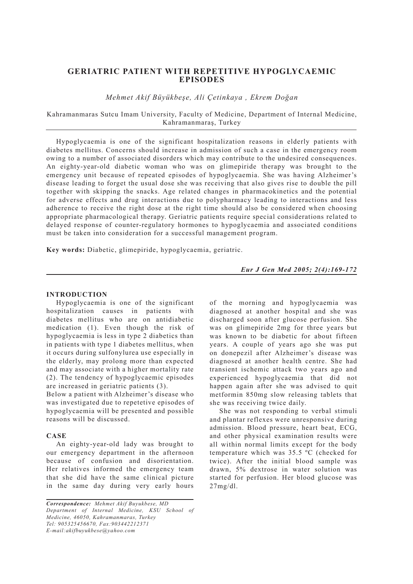# **GERIATRIC PATIENT WITH REPETITIVE HYPOGLYCAEMIC EPISODES**

*Mehmet Akif Büyükbeşe, Ali Çetinkaya , Ekrem Doğan*

Kahramanmaras Sutcu Imam University, Faculty of Medicine, Department of Internal Medicine, Kahramanmaraş, Turkey

Hypoglycaemia is one of the significant hospitalization reasons in elderly patients with diabetes mellitus. Concerns should increase in admission of such a case in the emergency room owing to a number of associated disorders which may contribute to the undesired consequences. An eighty-year-old diabetic woman who was on glimepiride therapy was brought to the emergency unit because of repeated episodes of hypoglycaemia. She was having Alzheimer's disease leading to forget the usual dose she was receiving that also gives rise to double the pill together with skipping the snacks. Age related changes in pharmacokinetics and the potential for adverse effects and drug interactions due to polypharmacy leading to interactions and less adherence to receive the right dose at the right time should also be considered when choosing appropriate pharmacological therapy. Geriatric patients require special considerations related to delayed response of counter-regulatory hormones to hypoglycaemia and associated conditions must be taken into consideration for a successful management program.

**Key words:** Diabetic, glimepiride, hypoglycaemia, geriatric.

*Eur J Gen Med 2005; 2(4):169-172*

## **INTRODUCTION**

Hypoglycaemia is one of the significant hospitalization causes in patients with diabetes mellitus who are on antidiabetic medication (1). Even though the risk of hypoglycaemia is less in type 2 diabetics than in patients with type 1 diabetes mellitus, when it occurs during sulfonylurea use especially in the elderly, may prolong more than expected and may associate with a higher mortality rate (2). The tendency of hypoglycaemic episodes are increased in geriatric patients (3).

Below a patient with Alzheimer's disease who was investigated due to repetetive episodes of hypoglycaemia will be presented and possible reasons will be discussed.

### **CASE**

An eighty-year-old lady was brought to our emergency department in the afternoon because of confusion and disorientation. Her relatives informed the emergency team that she did have the same clinical picture in the same day during very early hours

*Correspondence: Mehmet Akif Buyukbese, MD Department of Internal Medicine, KSU School of Medicine, 46050, Kahramanmaras, Turkey Tel: 905325456670, Fax:903442212371 E-mail:akifbuyukbese@yahoo.com*

of the morning and hypoglycaemia was diagnosed at another hospital and she was discharged soon after glucose perfusion. She was on glimepiride 2mg for three years but was known to be diabetic for about fifteen years. A couple of years ago she was put on donepezil after Alzheimer's disease was diagnosed at another health centre. She had transient ischemic attack two years ago and experienced hypoglycaemia that did not happen again after she was advised to quit metformin 850mg slow releasing tablets that she was receiving twice daily.

She was not responding to verbal stimuli and plantar reflexes were unresponsive during admission. Blood pressure, heart beat, ECG, and other physical examination results were all within normal limits except for the body temperature which was 35.5 ºC (checked for twice). After the initial blood sample was drawn, 5% dextrose in water solution was started for perfusion. Her blood glucose was 27mg/dl.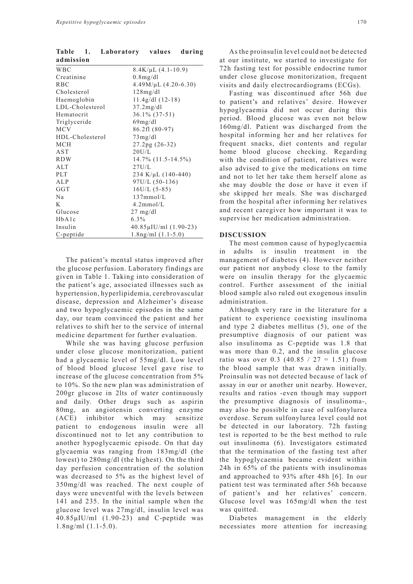| admission       |                             |
|-----------------|-----------------------------|
| <b>WBC</b>      | $8.4$ K/µL $(4.1 - 10.9)$   |
| Creatinine      | $0.8$ mg/dl                 |
| <b>RBC</b>      | $4.49M/\mu L$ $(4.20-6.30)$ |
| Cholesterol     | 128mg/dl                    |
| Haemoglobin     | $11.4g/dl(12-18)$           |
| LDL-Cholesterol | 37.2mg/dl                   |
| Hematocrit      | $36.1\%$ (37-51)            |
| Triglyceride    | 69mg/dl                     |
| <b>MCV</b>      | 86.2fl (80-97)              |
| HDL-Cholesterol | 73mg/dl                     |
| <b>MCH</b>      | 27.2pg (26-32)              |
| AST             | 20U/L                       |
| <b>RDW</b>      | $14.7\%$ $(11.5-14.5\%)$    |
| ALT             | 27U/L                       |
| <b>PLT</b>      | 234 K/µL $(140-440)$        |
| ALP             | 97U/L (50-136)              |
| GGT             | $16U/L$ (5-85)              |
| Na              | $137$ mmol/L                |
| K               | $4.2$ mmol/L                |
| Glucose         | $27 \text{ mg/dl}$          |
| HbA1c           | $6.3\%$                     |
| Insulin         | 40.85µIU/ml (1.90-23)       |
| C-peptide       | $1.8$ ng/ml $(1.1-5.0)$     |

**Table 1. Laboratory values during** 

The patient's mental status improved after the glucose perfusion. Laboratory findings are given in Table 1. Taking into consideration of the patient's age, associated illnesses such as hypertension, hyperlipidemia, cerebrovascular disease, depression and Alzheimer's disease and two hypoglycaemic episodes in the same day, our team convinced the patient and her relatives to shift her to the service of internal medicine department for further evaluation.

While she was having glucose perfusion under close glucose monitorization, patient had a glycaemic level of 55mg/dl. Low level of blood blood glucose level gave rise to increase of the glucose concentration from 5% to 10%. So the new plan was administration of 200gr glucose in 2lts of water continuously and daily. Other drugs such as aspirin 80mg, an angiotensin converting enzyme (ACE) inhibitor which may sensitize patient to endogenous insulin were all discontinued not to let any contribution to another hypoglycaemic episode. On that day glycaemia was ranging from 183mg/dl (the lowest) to 280mg/dl (the highest). On the third day perfusion concentration of the solution was decreased to 5% as the highest level of 350mg/dl was reached. The next couple of days were uneventful with the levels between 141 and 235. In the initial sample when the glucose level was 27mg/dl, insulin level was 40.85μIU/ml (1.90-23) and C-peptide was 1.8ng/ml (1.1-5.0).

Fasting was discontinued after 56h due to patient's and relatives' desire. However hypoglycaemia did not occur during this period. Blood glucose was even not below 160mg/dl. Patient was discharged from the hospital informing her and her relatives for frequent snacks, diet contents and regular home blood glucose checking. Regarding with the condition of patient, relatives were also advised to give the medications on time and not to let her take them herself alone as she may double the dose or have it even if she skipped her meals. She was discharged from the hospital after informing her relatives and recent caregiver how important it was to supervise her medication administration.

#### **DISCUSSION**

The most common cause of hypoglycaemia in adults is insulin treatment in the management of diabetes (4). However neither our patient nor anybody close to the family were on insulin therapy for the glycaemic control. Further assessment of the initial blood sample also ruled out exogenous insulin administration.

Although very rare in the literature for a patient to experience coexisting insulinoma and type 2 diabetes mellitus (5), one of the presumptive diagnosis of our patient was also insulinoma as C-peptide was 1.8 that was more than 0.2, and the insulin glucose ratio was over 0.3 (40.85 /  $27 = 1.51$ ) from the blood sample that was drawn initially. Proinsulin was not detected because of lack of assay in our or another unit nearby. However, results and ratios -even though may support the presumptive diagnosis of insulinoma-, may also be possible in case of sulfonylurea overdose. Serum sulfonylurea level could not be detected in our laboratory. 72h fasting test is reported to be the best method to rule out insulinoma (6). Investigators estimated that the termination of the fasting test after the hypoglycaemia became evident within 24h in 65% of the patients with insulinomas and approached to 93% after 48h [6]. In our patient test was terminated after 56h because of patient's and her relatives' concern. Glucose level was 165mg/dl when the test was quitted.

Diabetes management in the elderly necessiates more attention for increasing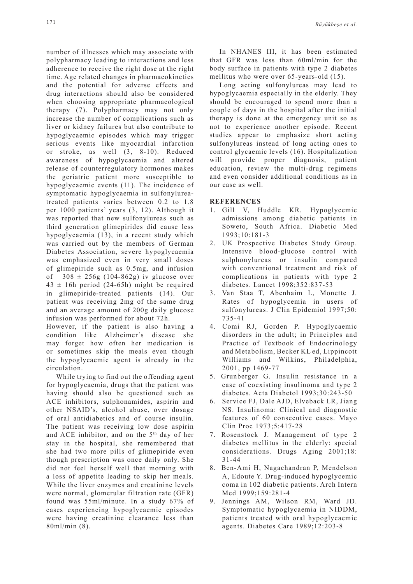number of illnesses which may associate with polypharmacy leading to interactions and less adherence to receive the right dose at the right time. Age related changes in pharmacokinetics and the potential for adverse effects and drug interactions should also be considered when choosing appropriate pharmacological therapy (7). Polypharmacy may not only increase the number of complications such as liver or kidney failures but also contribute to hypoglycaemic episodes which may trigger serious events like myocardial infarction or stroke, as well (3, 8-10). Reduced awareness of hypoglycaemia and altered release of counterregulatory hormones makes the geriatric patient more susceptible to hypoglycaemic events (11). The incidence of symptomatic hypoglycaemia in sulfonylureatreated patients varies between 0.2 to 1.8 per 1000 patients' years (3, 12). Although it was reported that new sulfonylureas such as third generation glimepirides did cause less hypoglycaemia (13), in a recent study which was carried out by the members of German Diabetes Association, severe hypoglycaemia was emphasized even in very small doses of glimepiride such as 0.5mg, and infusion of  $308 \pm 256g$  (104-862g) iv glucose over  $43 \pm 16h$  period (24-65h) might be required in glimepiride-treated patients (14). Our patient was receiving 2mg of the same drug and an average amount of 200g daily glucose infusion was performed for about 72h.

However, if the patient is also having a condition like Alzheimer's disease she may forget how often her medication is or sometimes skip the meals even though the hypoglycaemic agent is already in the circulation.

While trying to find out the offending agent for hypoglycaemia, drugs that the patient was having should also be questioned such as ACE inhibitors, sulphonamides, aspirin and other NSAID's, alcohol abuse, over dosage of oral antidiabetics and of course insulin. The patient was receiving low dose aspirin and ACE inhibitor, and on the 5<sup>th</sup> day of her stay in the hospital, she remembered that she had two more pills of glimepiride even though prescription was once daily only. She did not feel herself well that morning with a loss of appetite leading to skip her meals. While the liver enzymes and creatinine levels were normal, glomerular filtration rate (GFR) found was 55ml/minute. In a study 67% of cases experiencing hypoglycaemic episodes were having creatinine clearance less than 80ml/min (8).

In NHANES III, it has been estimated that GFR was less than 60ml/min for the body surface in patients with type 2 diabetes mellitus who were over 65-years-old (15).

Long acting sulfonylureas may lead to hypoglycaemia especially in the elderly. They should be encouraged to spend more than a couple of days in the hospital after the initial therapy is done at the emergency unit so as not to experience another episode. Recent studies appear to emphasize short acting sulfonylureas instead of long acting ones to control glycaemic levels (16). Hospitalization will provide proper diagnosis, patient education, review the multi-drug regimens and even consider additional conditions as in our case as well.

## **REFERENCES**

- 1. Gill V, Huddle KR. Hypoglycemic admissions among diabetic patients in Soweto, South Africa. Diabetic Med 1993;10:181-3
- 2. UK Prospective Diabetes Study Group. Intensive blood-glucose control with sulphonylureas or insulin compared with conventional treatment and risk of complications in patients with type 2 diabetes. Lancet 1998;352:837-53
- 3. Van Staa T, Abenhaim L, Monette J. Rates of hypoglycemia in users of sulfonylureas. J Clin Epidemiol 1997;50: 735-41
- 4. Comi RJ, Gorden P. Hypoglycaemic disorders in the adult; in Principles and Practice of Textbook of Endocrinology and Metabolism, Becker KL ed, Lippincott Williams and Wilkins, Philadelphia, 2001, pp 1469-77
- 5. Grunberger G. Insulin resistance in a case of coexisting insulinoma and type 2 diabetes. Acta Diabetol 1993;30:243-50
- 6. Service FJ, Dale AJD, Elveback LR, Jiang NS. Insulinoma: Clinical and diagnostic features of 60 consecutive cases. Mayo Clin Proc 1973;5:417-28
- 7. Rosenstock J. Management of type 2 diabetes mellitus in the elderly: special considerations. Drugs Aging 2001;18: 31-44
- 8. Ben-Ami H, Nagachandran P, Mendelson A, Edoute Y. Drug-induced hypoglycemic coma in 102 diabetic patients. Arch Intern Med 1999;159:281-4
- 9. Jennings AM, Wilson RM, Ward JD. Symptomatic hypoglycaemia in NIDDM, patients treated with oral hypoglycaemic agents. Diabetes Care 1989;12:203-8